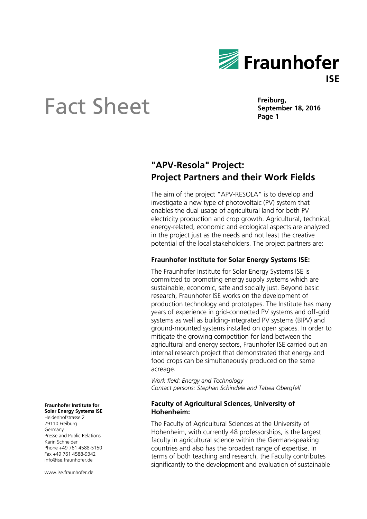

# **Sheet Eact Sheet Page 1**

**Freiburg,**

### **"APV-Resola" Project: Project Partners and their Work Fields**

The aim of the project "APV-RESOLA" is to develop and investigate a new type of photovoltaic (PV) system that enables the dual usage of agricultural land for both PV electricity production and crop growth. Agricultural, technical, energy-related, economic and ecological aspects are analyzed in the project just as the needs and not least the creative potential of the local stakeholders. The project partners are:

### **Fraunhofer Institute for Solar Energy Systems ISE:**

The Fraunhofer Institute for Solar Energy Systems ISE is committed to promoting energy supply systems which are sustainable, economic, safe and socially just. Beyond basic research, Fraunhofer ISE works on the development of production technology and prototypes. The Institute has many years of experience in grid-connected PV systems and off-grid systems as well as building-integrated PV systems (BIPV) and ground-mounted systems installed on open spaces. In order to mitigate the growing competition for land between the agricultural and energy sectors, Fraunhofer ISE carried out an internal research project that demonstrated that energy and food crops can be simultaneously produced on the same acreage.

*Work field: Energy and Technology Contact persons: Stephan Schindele and Tabea Obergfell*

### **Faculty of Agricultural Sciences, University of Hohenheim:**

The Faculty of Agricultural Sciences at the University of Hohenheim, with currently 48 professorships, is the largest faculty in agricultural science within the German-speaking countries and also has the broadest range of expertise. In terms of both teaching and research, the Faculty contributes significantly to the development and evaluation of sustainable

**Fraunhofer Institute for Solar Energy Systems ISE** Heidenhofstrasse 2

79110 Freiburg Germany Presse and Public Relations Karin Schneider Phone +49 761 4588-5150 Fax +49 761 4588-9342 info@ise.fraunhofer.de

www.ise.fraunhofer.de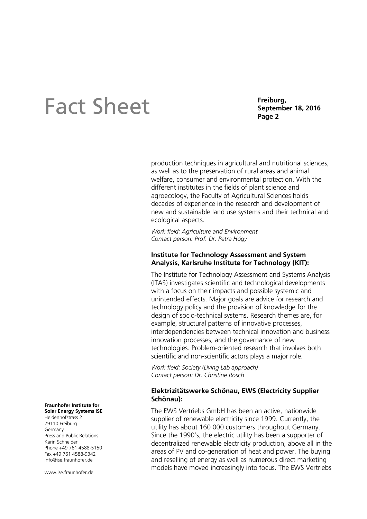# **Sheet Eact Sheet Page 2**

**Freiburg,**

production techniques in agricultural and nutritional sciences, as well as to the preservation of rural areas and animal welfare, consumer and environmental protection. With the different institutes in the fields of plant science and agroecology, the Faculty of Agricultural Sciences holds decades of experience in the research and development of new and sustainable land use systems and their technical and ecological aspects.

*Work field: Agriculture and Environment Contact person: Prof. Dr. Petra Högy* 

### **Institute for Technology Assessment and System Analysis, Karlsruhe Institute for Technology (KIT):**

The Institute for Technology Assessment and Systems Analysis (ITAS) investigates scientific and technological developments with a focus on their impacts and possible systemic and unintended effects. Major goals are advice for research and technology policy and the provision of knowledge for the design of socio-technical systems. Research themes are, for example, structural patterns of innovative processes, interdependencies between technical innovation and business innovation processes, and the governance of new technologies. Problem-oriented research that involves both scientific and non-scientific actors plays a major role.

*Work field: Society (Living Lab approach) Contact person: Dr. Christine Rösch*

### **Elektrizitätswerke Schönau, EWS (Electricity Supplier Schönau):**

The EWS Vertriebs GmbH has been an active, nationwide supplier of renewable electricity since 1999. Currently, the utility has about 160 000 customers throughout Germany. Since the 1990's, the electric utility has been a supporter of decentralized renewable electricity production, above all in the areas of PV and co-generation of heat and power. The buying and reselling of energy as well as numerous direct marketing models have moved increasingly into focus. The EWS Vertriebs

#### **Fraunhofer Institute for Solar Energy Systems ISE** Heidenhofstrass 2

79110 Freiburg Germany Press and Public Relations Karin Schneider Phone +49 761 4588-5150 Fax +49 761 4588-9342 info@ise.fraunhofer.de

www.ise.fraunhofer.de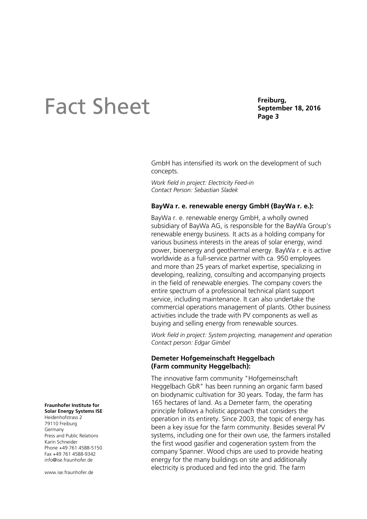# **Sheet Eact Sheet Page 1** Septem

**Freiburg,**

GmbH has intensified its work on the development of such concepts.

*Work field in project: Electricity Feed-in Contact Person: Sebastian Sladek*

### **BayWa r. e. renewable energy GmbH (BayWa r. e.):**

BayWa r. e. renewable energy GmbH, a wholly owned subsidiary of BayWa AG, is responsible for the BayWa Group's renewable energy business. It acts as a holding company for various business interests in the areas of solar energy, wind power, bioenergy and geothermal energy. BayWa r. e is active worldwide as a full-service partner with ca. 950 employees and more than 25 years of market expertise, specializing in developing, realizing, consulting and accompanying projects in the field of renewable energies. The company covers the entire spectrum of a professional technical plant support service, including maintenance. It can also undertake the commercial operations management of plants. Other business activities include the trade with PV components as well as buying and selling energy from renewable sources.

*Work field in project: System projecting, management and operation Contact person: Edgar Gimbel*

#### **Demeter Hofgemeinschaft Heggelbach (Farm community Heggelbach):**

The innovative farm community "Hofgemeinschaft Heggelbach GbR" has been running an organic farm based on biodynamic cultivation for 30 years. Today, the farm has 165 hectares of land. As a Demeter farm, the operating principle follows a holistic approach that considers the operation in its entirety. Since 2003, the topic of energy has been a key issue for the farm community. Besides several PV systems, including one for their own use, the farmers installed the first wood gasifier and cogeneration system from the company Spanner. Wood chips are used to provide heating energy for the many buildings on site and additionally electricity is produced and fed into the grid. The farm

#### **Fraunhofer Institute for Solar Energy Systems ISE**

Heidenhofstrass 2 79110 Freiburg Germany Press and Public Relations Karin Schneider Phone +49 761 4588-5150 Fax +49 761 4588-9342 info@ise.fraunhofer.de

www.ise.fraunhofer.de